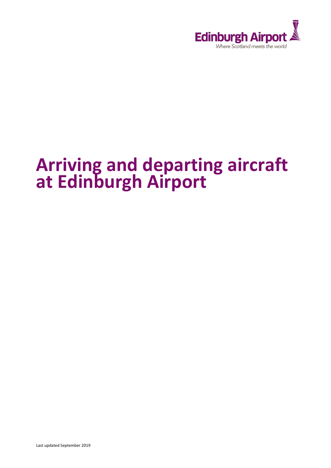

# **Arriving and departing aircraft at Edinburgh Airport**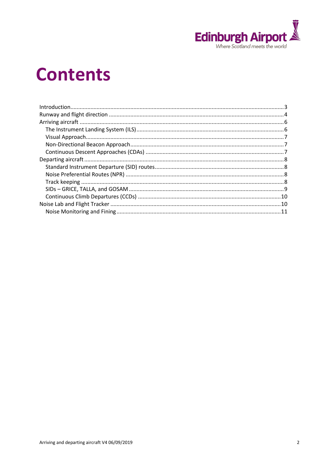

# **Contents**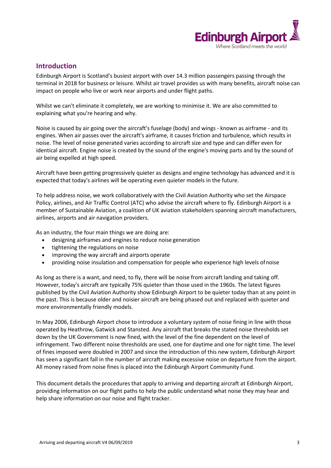

## <span id="page-2-0"></span>**Introduction**

Edinburgh Airport is Scotland's busiest airport with over 14.3 million passengers passing through the terminal in 2018 for business or leisure. Whilst air travel provides us with many benefits, aircraft noise can impact on people who live or work near airports and under flight paths.

Whilst we can't eliminate it completely, we are working to minimise it. We are also committed to explaining what you're hearing and why.

Noise is caused by air going over the aircraft's fuselage (body) and wings - known as airframe - and its engines. When air passes over the aircraft's airframe, it causes friction and turbulence, which results in noise. The level of noise generated varies according to aircraft size and type and can differ even for identical aircraft. Engine noise is created by the sound of the engine's moving parts and by the sound of air being expelled at high speed.

Aircraft have been getting progressively quieter as designs and engine technology has advanced and it is expected that today's airlines will be operating even quieter models in the future.

To help address noise, we work collaboratively with the Civil Aviation Authority who set the Airspace Policy, airlines, and Air Traffic Control (ATC) who advise the aircraft where to fly. Edinburgh Airport is a member of Sustainable Aviation, a coalition of UK aviation stakeholders spanning aircraft manufacturers, airlines, airports and air navigation providers.

As an industry, the four main things we are doing are:

- designing airframes and engines to reduce noise generation
- tightening the regulations on noise
- improving the way aircraft and airports operate
- providing noise insulation and compensation for people who experience high levels ofnoise

As long as there is a want, and need, to fly, there will be noise from aircraft landing and taking off. However, today's aircraft are typically 75% quieter than those used in the 1960s. The latest figures published by the Civil Aviation Authority show Edinburgh Airport to be quieter today than at any point in the past. This is because older and noisier aircraft are being phased out and replaced with quieter and more environmentally friendly models.

In May 2006, Edinburgh Airport chose to introduce a voluntary system of noise fining in line with those operated by Heathrow, Gatwick and Stansted. Any aircraft that breaks the stated noise thresholds set down by the UK Government is now fined, with the level of the fine dependent on the level of infringement. Two different noise thresholds are used, one for daytime and one for night time. The level of fines imposed were doubled in 2007 and since the introduction of this new system, Edinburgh Airport has seen a significant fall in the number of aircraft making excessive noise on departure from the airport. All money raised from noise fines is placed into the Edinburgh Airport Community Fund.

This document details the procedures that apply to arriving and departing aircraft at Edinburgh Airport, providing information on our flight paths to help the public understand what noise they may hear and help share information on our noise and flight tracker.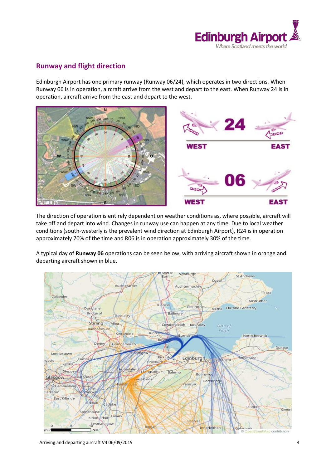

## <span id="page-3-0"></span>**Runway and flight direction**

Edinburgh Airport has one primary runway (Runway 06/24), which operates in two directions. When Runway 06 is in operation, aircraft arrive from the west and depart to the east. When Runway 24 is in operation, aircraft arrive from the east and depart to the west.



The direction of operation is entirely dependent on weather conditions as, where possible, aircraft will take off and depart into wind. Changes in runway use can happen at any time. Due to local weather conditions (south-westerly is the prevalent wind direction at Edinburgh Airport), R24 is in operation approximately 70% of the time and R06 is in operation approximately 30% of the time.

A typical day of **Runway 06** operations can be seen below, with arriving aircraft shown in orange and departing aircraft shown in blue.

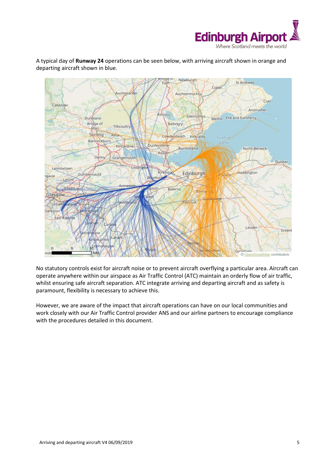

A typical day of **Runway 24** operations can be seen below, with arriving aircraft shown in orange and departing aircraft shown in blue.



No statutory controls exist for aircraft noise or to prevent aircraft overflying a particular area. Aircraft can operate anywhere within our airspace as Air Traffic Control (ATC) maintain an orderly flow of air traffic, whilst ensuring safe aircraft separation. ATC integrate arriving and departing aircraft and as safety is paramount, flexibility is necessary to achieve this.

However, we are aware of the impact that aircraft operations can have on our local communities and work closely with our Air Traffic Control provider ANS and our airline partners to encourage compliance with the procedures detailed in this document.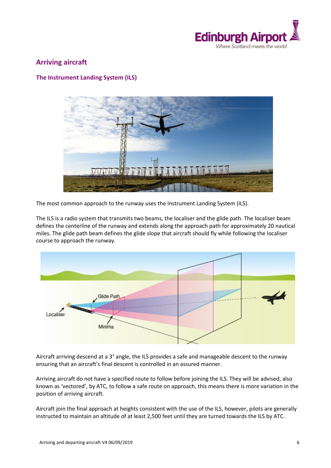

## <span id="page-5-0"></span>**Arriving aircraft**

### <span id="page-5-1"></span>**The Instrument Landing System (ILS)**



The most common approach to the runway uses the Instrument Landing System (ILS).

The ILS is a radio system that transmits two beams, the localiser and the glide path. The localiser beam defines the centerline of the runway and extends along the approach path for approximately 20 nautical miles. The glide path beam defines the glide slope that aircraft should fly while following the localiser course to approach the runway.



Aircraft arriving descend at a 3° angle, the ILS provides a safe and manageable descent to the runway ensuring that an aircraft's final descent is controlled in an assured manner.

Arriving aircraft do not have a specified route to follow before joining the ILS. They will be advised, also known as 'vectored', by ATC, to follow a safe route on approach, this means there is more variation in the position of arriving aircraft.

Aircraft join the final approach at heights consistent with the use of the ILS, however, pilots are generally instructed to maintain an altitude of at least 2,500 feet until they are turned towards the ILS by ATC.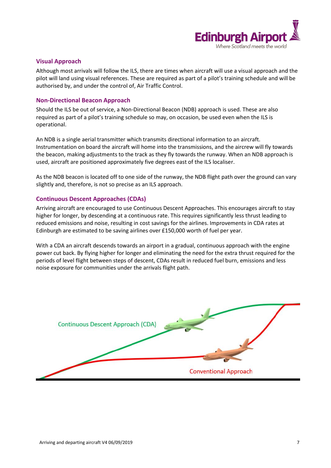

#### <span id="page-6-0"></span>**Visual Approach**

Although most arrivals will follow the ILS, there are times when aircraft will use a visual approach and the pilot will land using visual references. These are required as part of a pilot's training schedule and will be authorised by, and under the control of, Air Traffic Control.

#### <span id="page-6-1"></span>**Non-Directional Beacon Approach**

Should the ILS be out of service, a Non-Directional Beacon (NDB) approach is used. These are also required as part of a pilot's training schedule so may, on occasion, be used even when the ILS is operational.

An NDB is a single aerial transmitter which transmits directional information to an aircraft. Instrumentation on board the aircraft will home into the transmissions, and the aircrew will fly towards the beacon, making adjustments to the track as they fly towards the runway. When an NDB approach is used, aircraft are positioned approximately five degrees east of the ILS localiser.

As the NDB beacon is located off to one side of the runway, the NDB flight path over the ground can vary slightly and, therefore, is not so precise as an ILS approach.

#### <span id="page-6-2"></span>**Continuous Descent Approaches (CDAs)**

Arriving aircraft are encouraged to use Continuous Descent Approaches. This encourages aircraft to stay higher for longer, by descending at a continuous rate. This requires significantly less thrust leading to reduced emissions and noise, resulting in cost savings for the airlines. Improvements in CDA rates at Edinburgh are estimated to be saving airlines over £150,000 worth of fuel per year.

With a CDA an aircraft descends towards an airport in a gradual, continuous approach with the engine power cut back. By flying higher for longer and eliminating the need for the extra thrust required for the periods of level flight between steps of descent, CDAs result in reduced fuel burn, emissions and less noise exposure for communities under the arrivals flight path.

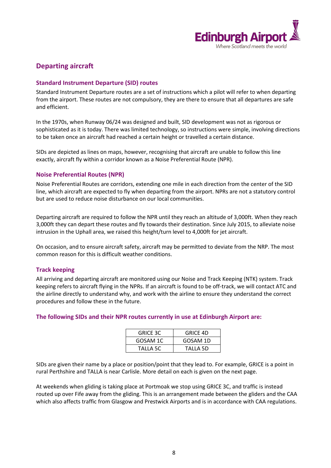

## <span id="page-7-0"></span>**Departing aircraft**

#### <span id="page-7-1"></span>**Standard Instrument Departure (SID) routes**

Standard Instrument Departure routes are a set of instructions which a pilot will refer to when departing from the airport. These routes are not compulsory, they are there to ensure that all departures are safe and efficient.

In the 1970s, when Runway 06/24 was designed and built, SID development was not as rigorous or sophisticated as it is today. There was limited technology, so instructions were simple, involving directions to be taken once an aircraft had reached a certain height or travelled a certain distance.

SIDs are depicted as lines on maps, however, recognising that aircraft are unable to follow this line exactly, aircraft fly within a corridor known as a Noise Preferential Route (NPR).

#### <span id="page-7-2"></span>**Noise Preferential Routes (NPR)**

Noise Preferential Routes are corridors, extending one mile in each direction from the center of the SID line, which aircraft are expected to fly when departing from the airport. NPRs are not a statutory control but are used to reduce noise disturbance on our local communities.

Departing aircraft are required to follow the NPR until they reach an altitude of 3,000ft. When they reach 3,000ft they can depart these routes and fly towards their destination. Since July 2015, to alleviate noise intrusion in the Uphall area, we raised this height/turn level to 4,000ft for jet aircraft.

On occasion, and to ensure aircraft safety, aircraft may be permitted to deviate from the NRP. The most common reason for this is difficult weather conditions.

#### <span id="page-7-3"></span>**Track keeping**

All arriving and departing aircraft are monitored using our Noise and Track Keeping (NTK) system. Track keeping refers to aircraft flying in the NPRs. If an aircraft is found to be off-track, we will contact ATC and the airline directly to understand why, and work with the airline to ensure they understand the correct procedures and follow these in the future.

#### **The following SIDs and their NPR routes currently in use at Edinburgh Airport are:**

| <b>GRICE 3C</b> | <b>GRICE 4D</b> |
|-----------------|-----------------|
| GOSAM 1C        | GOSAM 1D        |
| TALLA 5C        | TALLA 5D        |

SIDs are given their name by a place or position/point that they lead to. For example, GRICE is a point in rural Perthshire and TALLA is near Carlisle. More detail on each is given on the next page.

At weekends when gliding is taking place at Portmoak we stop using GRICE 3C, and traffic is instead routed up over Fife away from the gliding. This is an arrangement made between the gliders and the CAA which also affects traffic from Glasgow and Prestwick Airports and is in accordance with CAA regulations.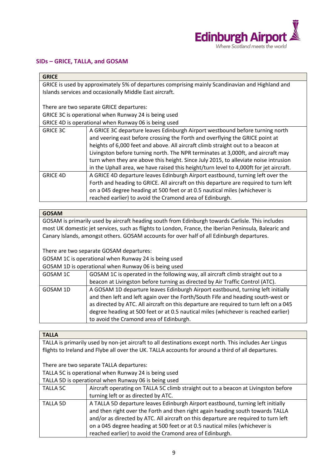

#### <span id="page-8-0"></span>**SIDs – GRICE, TALLA, and GOSAM**

| <b>GRICE</b>    |                                                                                                 |
|-----------------|-------------------------------------------------------------------------------------------------|
|                 | GRICE is used by approximately 5% of departures comprising mainly Scandinavian and Highland and |
|                 | Islands services and occasionally Middle East aircraft.                                         |
|                 | There are two separate GRICE departures:                                                        |
|                 | GRICE 3C is operational when Runway 24 is being used                                            |
|                 | GRICE 4D is operational when Runway 06 is being used                                            |
| <b>GRICE 3C</b> | A GRICE 3C departure leaves Edinburgh Airport westbound before turning north                    |
|                 | and veering east before crossing the Forth and overflying the GRICE point at                    |
|                 | heights of 6,000 feet and above. All aircraft climb straight out to a beacon at                 |
|                 | Livingston before turning north. The NPR terminates at 3,000ft, and aircraft may                |
|                 | turn when they are above this height. Since July 2015, to alleviate noise intrusion             |
|                 | in the Uphall area, we have raised this height/turn level to 4,000ft for jet aircraft.          |
| <b>GRICE 4D</b> | A GRICE 4D departure leaves Edinburgh Airport eastbound, turning left over the                  |
|                 | Forth and heading to GRICE. All aircraft on this departure are required to turn left            |
|                 | on a 045 degree heading at 500 feet or at 0.5 nautical miles (whichever is                      |
|                 | reached earlier) to avoid the Cramond area of Edinburgh.                                        |

#### **GOSAM**

GOSAM is primarily used by aircraft heading south from Edinburgh towards Carlisle. This includes most UK domestic jet services, such as flights to London, France, the Iberian Peninsula, Balearic and Canary Islands, amongst others. GOSAM accounts for over half of all Edinburgh departures.

There are two separate GOSAM departures:

• GOSAM 1C is operational when Runway 24 is being used

• GOSAM 1D is operational when Runway 06 is being used

| GOSAM 1C | GOSAM 1C is operated in the following way, all aircraft climb straight out to a                                                                                                                                                                                                                                                                                                               |
|----------|-----------------------------------------------------------------------------------------------------------------------------------------------------------------------------------------------------------------------------------------------------------------------------------------------------------------------------------------------------------------------------------------------|
|          | beacon at Livingston before turning as directed by Air Traffic Control (ATC).                                                                                                                                                                                                                                                                                                                 |
| GOSAM 1D | A GOSAM 1D departure leaves Edinburgh Airport eastbound, turning left initially<br>and then left and left again over the Forth/South Fife and heading south-west or<br>as directed by ATC. All aircraft on this departure are required to turn left on a 045<br>degree heading at 500 feet or at 0.5 nautical miles (whichever is reached earlier)<br>to avoid the Cramond area of Edinburgh. |
|          |                                                                                                                                                                                                                                                                                                                                                                                               |

#### **TALLA**

TALLA is primarily used by non-jet aircraft to all destinations except north. This includes Aer Lingus flights to Ireland and Flybe all over the UK. TALLA accounts for around a third of all departures.

There are two separate TALLA departures:

TALLA 5C is operational when Runway 24 is being used

• TALLA 5D is operational when Runway 06 is being used

| <b>TALLA 5C</b> | Aircraft operating on TALLA 5C climb straight out to a beacon at Livingston before  |  |
|-----------------|-------------------------------------------------------------------------------------|--|
|                 | turning left or as directed by ATC.                                                 |  |
| <b>TALLA 5D</b> | A TALLA 5D departure leaves Edinburgh Airport eastbound, turning left initially     |  |
|                 | and then right over the Forth and then right again heading south towards TALLA      |  |
|                 | and/or as directed by ATC. All aircraft on this departure are required to turn left |  |
|                 | on a 045 degree heading at 500 feet or at 0.5 nautical miles (whichever is          |  |
|                 | reached earlier) to avoid the Cramond area of Edinburgh.                            |  |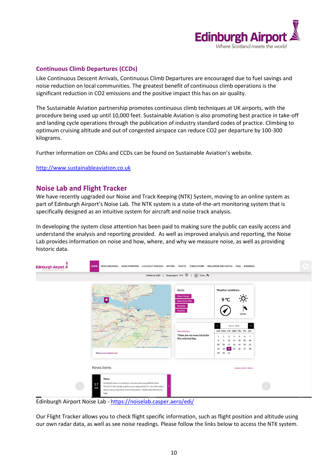

#### <span id="page-9-0"></span>**Continuous Climb Departures (CCDs)**

Like Continuous Descent Arrivals, Continuous Climb Departures are encouraged due to fuel savings and noise reduction on local communities. The greatest benefit of continuous climb operations is the significant reduction in CO2 emissions and the positive impact this has on air quality.

The Sustainable Aviation partnership promotes continuous climb techniques at UK airports, with the procedure being used up until 10,000 feet. Sustainable Aviation is also promoting best practice in take-off and landing cycle operations through the publication of industry standard codes of practice. Climbing to optimum cruising altitude and out of congested airspace can reduce CO2 per departure by 100-300 kilograms.

Further information on CDAs and CCDs can be found on Sustainable Aviation's website.

[http://www.sustainableaviation.co.uk](http://www.sustainableaviation.co.uk/)

### <span id="page-9-1"></span>**Noise Lab and Flight Tracker**

We have recently upgraded our Noise and Track Keeping (NTK) System, moving to an online system as part of Edinburgh Airport's Noise Lab. The NTK system is a state-of-the-art monitoring system that is specifically designed as an intuitive system for aircraft and noise track analysis.

In developing the system close attention has been paid to making sure the public can easily access and understand the analysis and reporting provided. As well as improved analysis and reporting, the Noise Lab provides information on noise and how, where, and why we measure noise, as well as providing historic data.



Edinburgh Airport Noise Lab - <https://noiselab.casper.aero/edi/>

Our Flight Tracker allows you to check flight specific information, such as flight position and altitude using our own radar data, as well as see noise readings. Please follow the links below to access the NTK system.